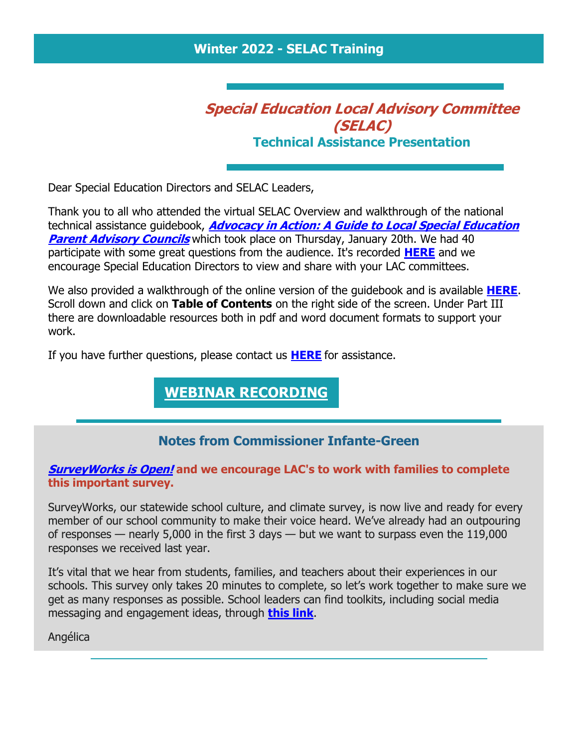### **Winter 2022 - SELAC Training**

## **Special Education Local Advisory Committee (SELAC) Technical Assistance Presentation**

Dear Special Education Directors and SELAC Leaders,

Thank you to all who attended the virtual SELAC Overview and walkthrough of the national technical assistance guidebook, **[Advocacy in Action: A Guide to Local Special Education](https://r20.rs6.net/tn.jsp?f=001PXXOxgHhTxkh5efcBqyperLqJpKLOyo-QfubyYEp8Y4bF79iFhQnZHgP-DMpRpXH5OP3VkHdW9nXH-9cVAsqwFJibU_98-CxCT-4ZjpoELvAP_E6mbPet3Z84_Ogakd628RaMNteD4Ohsu1QmCPxMpaL-iNW7TNjYgfN8ObxLuJTGbs93BoMV5AsENE0KdXOiE0pg-b-74VdQeJu-BoqqZYqkNYpqZX3Pgkv55y8CYORYw3GrXBr2g==&c=n_T5Atmpl_mtUEw4tJnZ_wOdx9TA3R2mCIhUYW7lR3Y0FOAd_BRjFg==&ch=5TU16pWT7vBYFgq0eyV35kpFONLYgPBovfz8mdPOaxSQ8cVb1Rukug==)  [Parent Advisory Councils](https://r20.rs6.net/tn.jsp?f=001PXXOxgHhTxkh5efcBqyperLqJpKLOyo-QfubyYEp8Y4bF79iFhQnZHgP-DMpRpXH5OP3VkHdW9nXH-9cVAsqwFJibU_98-CxCT-4ZjpoELvAP_E6mbPet3Z84_Ogakd628RaMNteD4Ohsu1QmCPxMpaL-iNW7TNjYgfN8ObxLuJTGbs93BoMV5AsENE0KdXOiE0pg-b-74VdQeJu-BoqqZYqkNYpqZX3Pgkv55y8CYORYw3GrXBr2g==&c=n_T5Atmpl_mtUEw4tJnZ_wOdx9TA3R2mCIhUYW7lR3Y0FOAd_BRjFg==&ch=5TU16pWT7vBYFgq0eyV35kpFONLYgPBovfz8mdPOaxSQ8cVb1Rukug==)** which took place on Thursday, January 20th. We had 40 participate with some great questions from the audience. It's recorded **[HERE](https://r20.rs6.net/tn.jsp?f=001PXXOxgHhTxkh5efcBqyperLqJpKLOyo-QfubyYEp8Y4bF79iFhQnZPOltArSP3_t4mg5aOustrBtOtE3Qzacf09WQPU0nwkOufjdB9x-r7NMltRjKtMsTwqQrNAyBM4UkSO2M6BqPndEUK8H7m29soha9lOCUS5JJAMung8Hsm4E5Ez4MEHO2w==&c=n_T5Atmpl_mtUEw4tJnZ_wOdx9TA3R2mCIhUYW7lR3Y0FOAd_BRjFg==&ch=5TU16pWT7vBYFgq0eyV35kpFONLYgPBovfz8mdPOaxSQ8cVb1Rukug==)** and we encourage Special Education Directors to view and share with your LAC committees.

We also provided a walkthrough of the online version of the guidebook and is available **[HERE](https://r20.rs6.net/tn.jsp?f=001PXXOxgHhTxkh5efcBqyperLqJpKLOyo-QfubyYEp8Y4bF79iFhQnZIv_W8X95ZGyZU3lCJafvIvn7lFTFia3kKdvdSaC2ThNgpDeiOhxJLcyUitg7ckHHd0XRxyqA96jmvVP4I0cpfuttxi9GXA1bEgLMvTQJp6NCmaRty_rfTw=&c=n_T5Atmpl_mtUEw4tJnZ_wOdx9TA3R2mCIhUYW7lR3Y0FOAd_BRjFg==&ch=5TU16pWT7vBYFgq0eyV35kpFONLYgPBovfz8mdPOaxSQ8cVb1Rukug==)**. Scroll down and click on **Table of Contents** on the right side of the screen. Under Part III there are downloadable resources both in pdf and word document formats to support your work.

If you have further questions, please contact us **[HERE](https://r20.rs6.net/tn.jsp?f=001PXXOxgHhTxkh5efcBqyperLqJpKLOyo-QfubyYEp8Y4bF79iFhQnZPOltArSP3_t4mg5aOustrBtOtE3Qzacf09WQPU0nwkOufjdB9x-r7NMltRjKtMsTwqQrNAyBM4UkSO2M6BqPndEUK8H7m29soha9lOCUS5JJAMung8Hsm4E5Ez4MEHO2w==&c=n_T5Atmpl_mtUEw4tJnZ_wOdx9TA3R2mCIhUYW7lR3Y0FOAd_BRjFg==&ch=5TU16pWT7vBYFgq0eyV35kpFONLYgPBovfz8mdPOaxSQ8cVb1Rukug==)** for assistance.

### **[WEBINAR RECORDING](https://r20.rs6.net/tn.jsp?f=001PXXOxgHhTxkh5efcBqyperLqJpKLOyo-QfubyYEp8Y4bF79iFhQnZPOltArSP3_t4mg5aOustrBtOtE3Qzacf09WQPU0nwkOufjdB9x-r7NMltRjKtMsTwqQrNAyBM4UkSO2M6BqPndEUK8H7m29soha9lOCUS5JJAMung8Hsm4E5Ez4MEHO2w==&c=n_T5Atmpl_mtUEw4tJnZ_wOdx9TA3R2mCIhUYW7lR3Y0FOAd_BRjFg==&ch=5TU16pWT7vBYFgq0eyV35kpFONLYgPBovfz8mdPOaxSQ8cVb1Rukug==)**

### **Notes from Commissioner Infante-Green**

#### **[SurveyWorks](https://r20.rs6.net/tn.jsp?f=001PXXOxgHhTxkh5efcBqyperLqJpKLOyo-QfubyYEp8Y4bF79iFhQnZPOltArSP3_tl2B0TiU-B6kgd1PdH3JPB0Cu9urDAPWiKeRnlydj3KUAqOpKNC2WsrR-f78hGuZoKhx-ZFn6DztcZlphUstvhHTy84U-8D0FTVgVAm6jN6dXsGwZopY4dD5s7--jlUe2X9YtK6DL9hL7CG_e9a43firV1idJOfpYuLFx2DbIulbtqGWoHpvzf6EW6RfBrn60&c=n_T5Atmpl_mtUEw4tJnZ_wOdx9TA3R2mCIhUYW7lR3Y0FOAd_BRjFg==&ch=5TU16pWT7vBYFgq0eyV35kpFONLYgPBovfz8mdPOaxSQ8cVb1Rukug==) is Open! and we encourage LAC's to work with families to complete this important survey.**

SurveyWorks, our statewide school culture, and climate survey, is now live and ready for every member of our school community to make their voice heard. We've already had an outpouring of responses — nearly 5,000 in the first 3 days — but we want to surpass even the 119,000 responses we received last year.

It's vital that we hear from students, families, and teachers about their experiences in our schools. This survey only takes 20 minutes to complete, so let's work together to make sure we get as many responses as possible. School leaders can find toolkits, including social media messaging and engagement ideas, through **[this link](https://r20.rs6.net/tn.jsp?f=001PXXOxgHhTxkh5efcBqyperLqJpKLOyo-QfubyYEp8Y4bF79iFhQnZPOltArSP3_tccxOLQFL1Vm97QkOZyaVHwkm1kQimQHiWR8z_xp5OotRq3Xvl6-_LDHVzPUUDuCDvxNxQeqQ7SXLUjxWIO-T2kNCxkePsljcEPVlbViejjrAwlzHsY97vRI2R1KHFOx8xFgsjSopFVo7bhZBOqVhIdsf88F0OC3X&c=n_T5Atmpl_mtUEw4tJnZ_wOdx9TA3R2mCIhUYW7lR3Y0FOAd_BRjFg==&ch=5TU16pWT7vBYFgq0eyV35kpFONLYgPBovfz8mdPOaxSQ8cVb1Rukug==)**.

Angélica